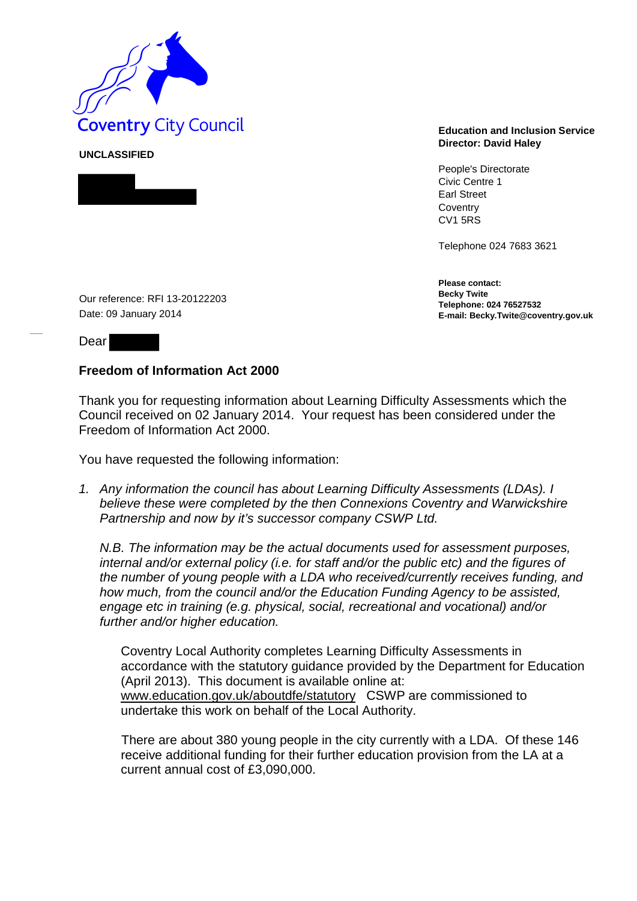

**UNCLASSIFIED** 



## **Director: David Haley**

People's Directorate Civic Centre 1 Earl Street **Coventry** CV1 5RS

Telephone 024 7683 3621

**Please contact: Becky Twite Telephone: 024 76527532 E-mail: Becky.Twite@coventry.gov.uk** 

Our reference: RFI 13-20122203 Date: 09 January 2014

Dear

## **Freedom of Information Act 2000**

Thank you for requesting information about Learning Difficulty Assessments which the Council received on 02 January 2014. Your request has been considered under the Freedom of Information Act 2000.

You have requested the following information:

*1. Any information the council has about Learning Difficulty Assessments (LDAs). I believe these were completed by the then Connexions Coventry and Warwickshire Partnership and now by it's successor company CSWP Ltd.* 

*N.B. The information may be the actual documents used for assessment purposes, internal and/or external policy (i.e. for staff and/or the public etc) and the figures of the number of young people with a LDA who received/currently receives funding, and how much, from the council and/or the Education Funding Agency to be assisted, engage etc in training (e.g. physical, social, recreational and vocational) and/or further and/or higher education.* 

Coventry Local Authority completes Learning Difficulty Assessments in accordance with the statutory guidance provided by the Department for Education (April 2013). This document is available online at: www.education.gov.uk/aboutdfe/statutory CSWP are commissioned to undertake this work on behalf of the Local Authority.

There are about 380 young people in the city currently with a LDA. Of these 146 receive additional funding for their further education provision from the LA at a current annual cost of £3,090,000.